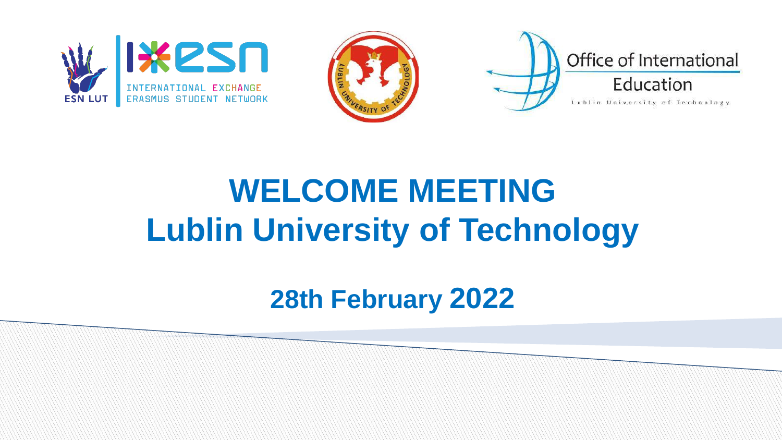





### **WELCOME MEETING Lublin University of Technology**

**28th February 2022**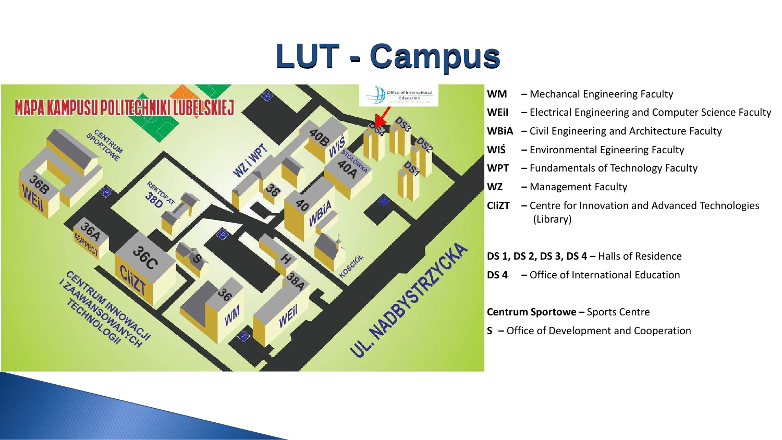# **LUT - Campus**



- **WM –** Mechancal Engineering Faculty
- **WEiI –** Electrical Engineering and Computer Science Faculty
- **WBiA –** Civil Engineering and Architecture Faculty
- **WIŚ –** Environmental Egineering Faculty
- **WPT –** Fundamentals of Technology Faculty
- **WZ –** Management Faculty
- **CIiZT –** Centre for Innovation and Advanced Technologies (Library)

**DS 1, DS 2, DS 3, DS 4 –** Halls of Residence

**DS 4 –** Office of International Education

#### **Centrum Sportowe –** Sports Centre

**S –** Office of Development and Cooperation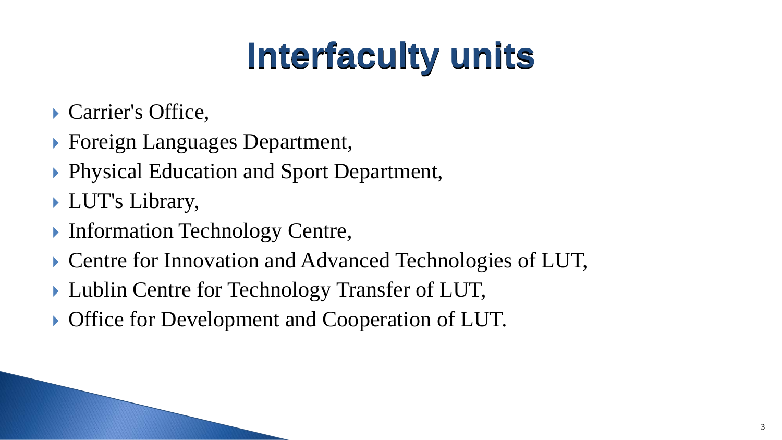# **Interfaculty units**

- ▶ Carrier's Office,
- ▶ Foreign Languages Department,
- ▶ Physical Education and Sport Department,
- LUT's Library,
- **Information Technology Centre,**
- ▶ Centre for Innovation and Advanced Technologies of LUT,
- Lublin Centre for Technology Transfer of LUT,
- **Office for Development and Cooperation of LUT.**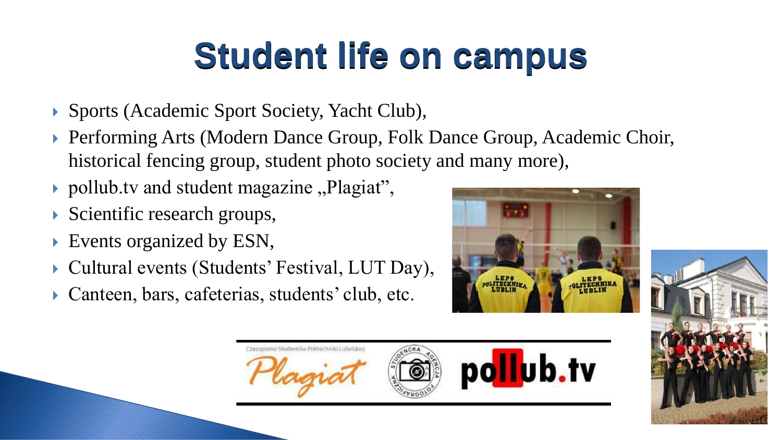# **Student life on campus**

- ▶ Sports (Academic Sport Society, Yacht Club),
- ▶ Performing Arts (Modern Dance Group, Folk Dance Group, Academic Choir, historical fencing group, student photo society and many more),
- pollub.tv and student magazine  $P$ lagiat",
- Scientific research groups,
- Events organized by ESN,
- Cultural events (Students' Festival, LUT Day),
- Canteen, bars, cafeterias, students' club, etc.





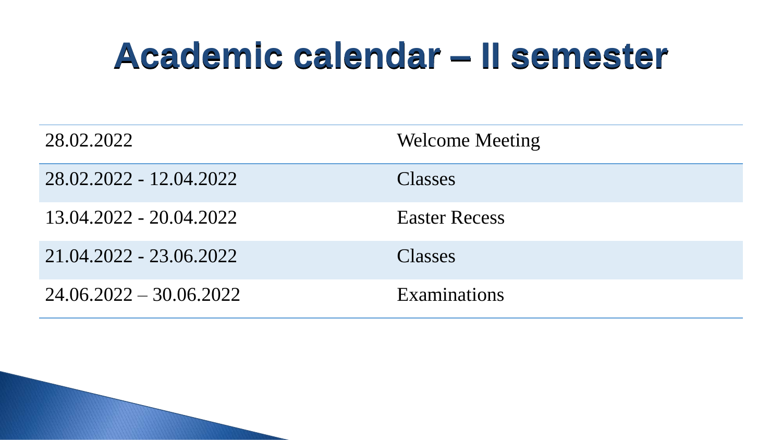### **Academic calendar – II semester**

| 28.02.2022                | <b>Welcome Meeting</b> |
|---------------------------|------------------------|
| 28.02.2022 - 12.04.2022   | <b>Classes</b>         |
| 13.04.2022 - 20.04.2022   | <b>Easter Recess</b>   |
| 21.04.2022 - 23.06.2022   | <b>Classes</b>         |
| $24.06.2022 - 30.06.2022$ | <b>Examinations</b>    |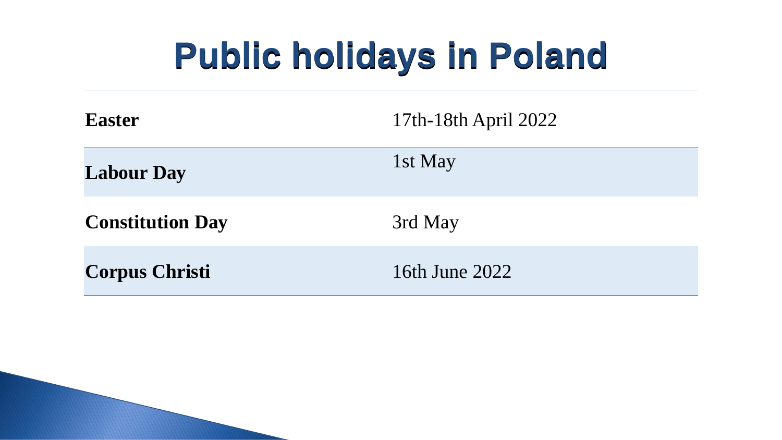# **Public holidays in Poland**

| <b>Easter</b>           | 17th-18th April 2022 |
|-------------------------|----------------------|
| <b>Labour Day</b>       | $\vert 1$ st May     |
| <b>Constitution Day</b> | 3rd May              |
| <b>Corpus Christi</b>   | 16th June 2022       |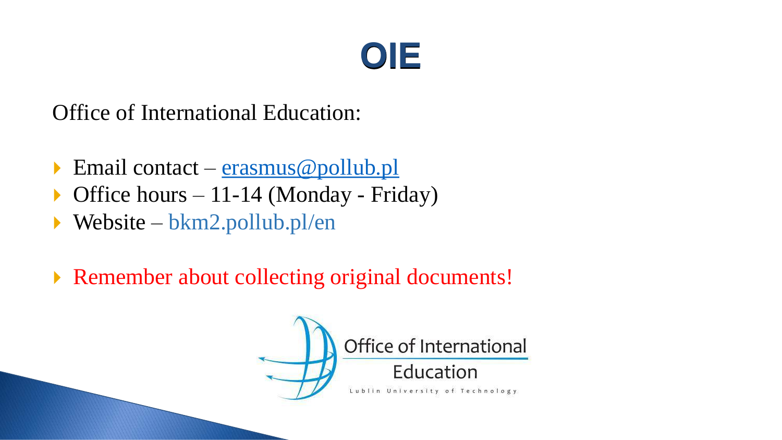#### **OIE**

Office of International Education:

- Email contact  $\frac{1}{2}$  [erasmus@pollub.pl](mailto:erasmus@pollub.pl)
- $\triangleright$  Office hours 11-14 (Monday Friday)
- Website bkm2.pollub.pl/en
- ▶ Remember about collecting original documents!

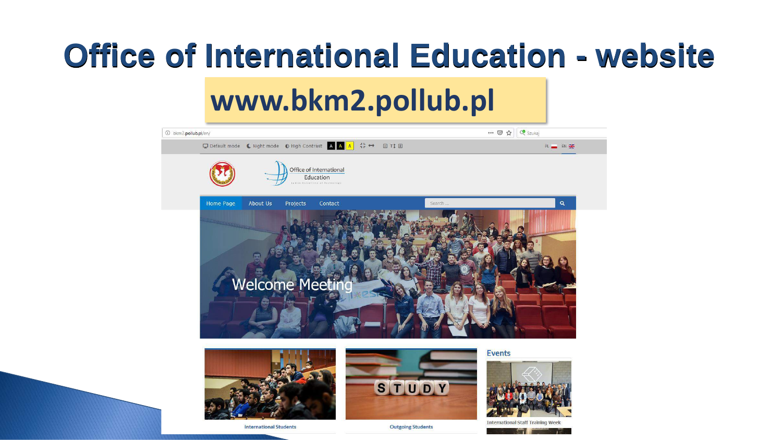#### **Office of International Education - website**

#### **www.bkm2.pollub.pl**

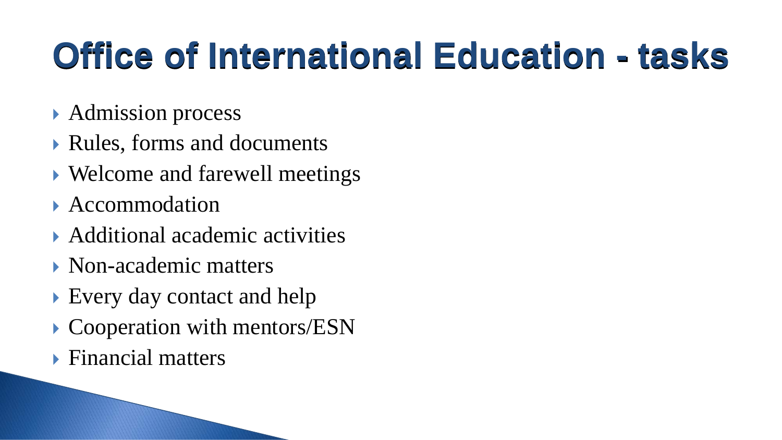# **Office of International Education - tasks**

- Admission process
- Rules, forms and documents
- ▶ Welcome and farewell meetings
- Accommodation
- Additional academic activities
- Non-academic matters
- Every day contact and help
- ▶ Cooperation with mentors/ESN
- ▶ Financial matters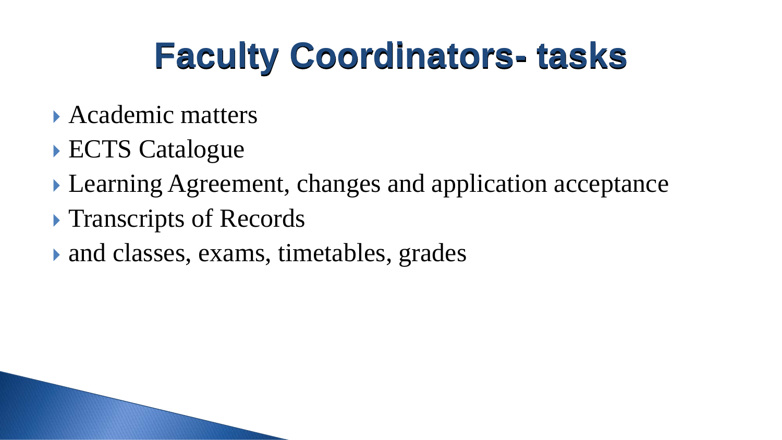# **Faculty Coordinators- tasks**

- Academic matters
- ECTS Catalogue
- Learning Agreement, changes and application acceptance
- **Transcripts of Records**
- and classes, exams, timetables, grades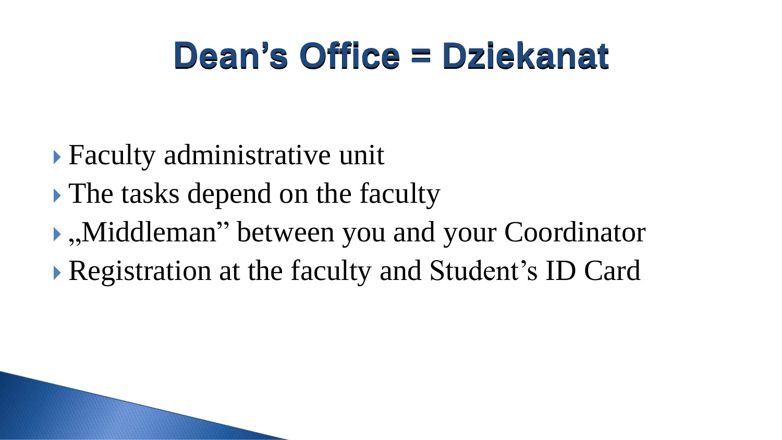# **Dean's Office = Dziekanat**

- Faculty administrative unit
- The tasks depend on the faculty
- $\bullet$ ,, Middleman" between you and your Coordinator
- Registration at the faculty and Student's ID Card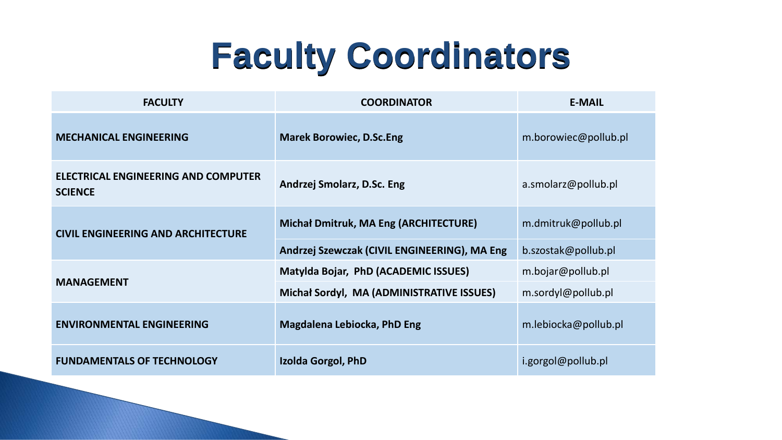# **Faculty Coordinators**

| <b>FACULTY</b>                                        | <b>COORDINATOR</b>                           | <b>E-MAIL</b>        |
|-------------------------------------------------------|----------------------------------------------|----------------------|
| <b>MECHANICAL ENGINEERING</b>                         | <b>Marek Borowiec, D.Sc.Eng</b>              | m.borowiec@pollub.pl |
| ELECTRICAL ENGINEERING AND COMPUTER<br><b>SCIENCE</b> | Andrzej Smolarz, D.Sc. Eng                   | a.smolarz@pollub.pl  |
| <b>CIVIL ENGINEERING AND ARCHITECTURE</b>             | <b>Michał Dmitruk, MA Eng (ARCHITECTURE)</b> | m.dmitruk@pollub.pl  |
|                                                       | Andrzej Szewczak (CIVIL ENGINEERING), MA Eng | b.szostak@pollub.pl  |
|                                                       | Matylda Bojar, PhD (ACADEMIC ISSUES)         | m.bojar@pollub.pl    |
| <b>MANAGEMENT</b>                                     | Michał Sordyl, MA (ADMINISTRATIVE ISSUES)    | m.sordyl@pollub.pl   |
| <b>ENVIRONMENTAL ENGINEERING</b>                      | <b>Magdalena Lebiocka, PhD Eng</b>           | m.lebiocka@pollub.pl |
| <b>FUNDAMENTALS OF TECHNOLOGY</b>                     | Izolda Gorgol, PhD                           | i.gorgol@pollub.pl   |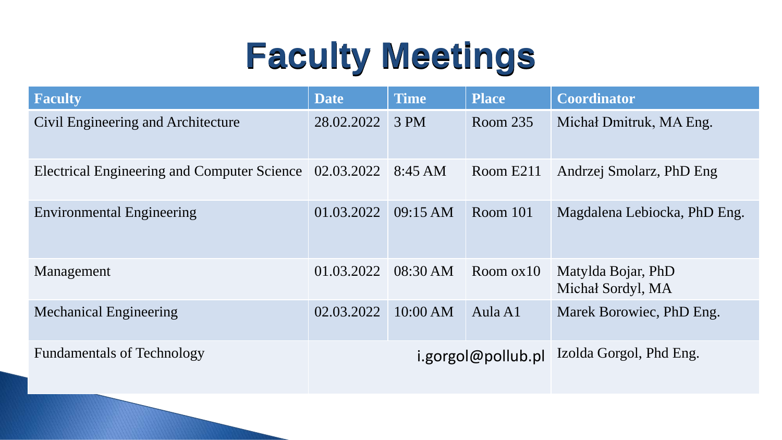# **Faculty Meetings**

| <b>Faculty</b>                                                   | <b>Date</b> | <b>Time</b> | <b>Place</b>       | <b>Coordinator</b>                      |
|------------------------------------------------------------------|-------------|-------------|--------------------|-----------------------------------------|
| Civil Engineering and Architecture                               | 28.02.2022  | 3 PM        | Room 235           | Michal Dmitruk, MA Eng.                 |
| Electrical Engineering and Computer Science 02.03.2022   8:45 AM |             |             | Room E211          | Andrzej Smolarz, PhD Eng                |
| <b>Environmental Engineering</b>                                 | 01.03.2022  | 09:15 AM    | Room $101$         | Magdalena Lebiocka, PhD Eng.            |
| Management                                                       | 01.03.2022  | 08:30 AM    | Room $ox10$        | Matylda Bojar, PhD<br>Michał Sordyl, MA |
| <b>Mechanical Engineering</b>                                    | 02.03.2022  | 10:00 AM    | Aula A1            | Marek Borowiec, PhD Eng.                |
| <b>Fundamentals of Technology</b>                                |             |             | i.gorgol@pollub.pl | Izolda Gorgol, Phd Eng.                 |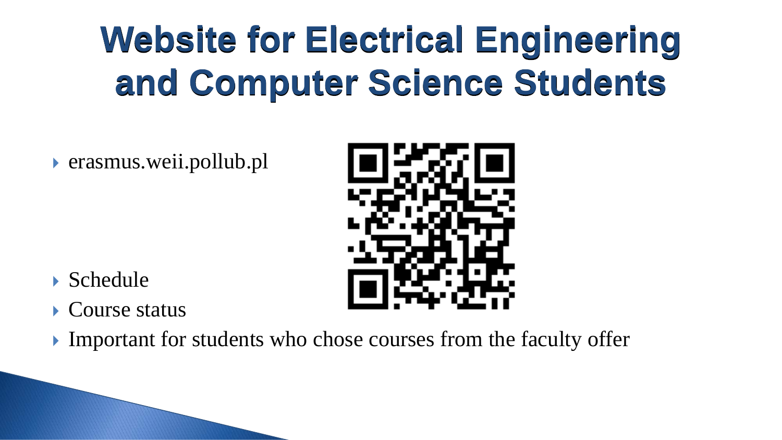# **Website for Electrical Engineering and Computer Science Students**

erasmus.weii.pollub.pl

- Schedule
- Course status
- Important for students who chose courses from the faculty offer

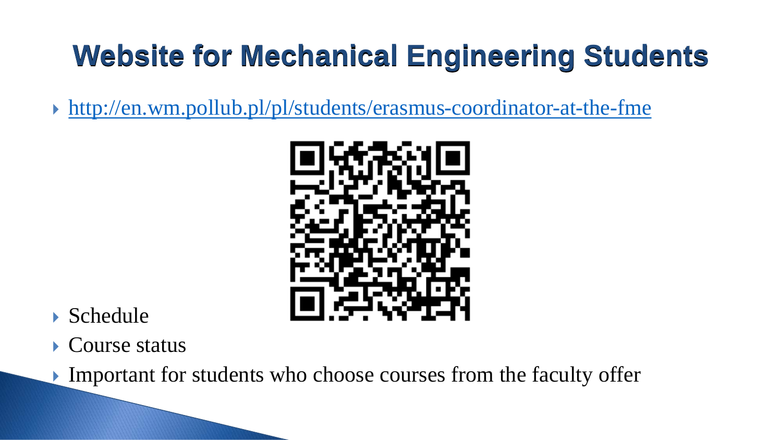#### **Website for Mechanical Engineering Students**

<http://en.wm.pollub.pl/pl/students/erasmus-coordinator-at-the-fme>



#### Schedule

Course status

Important for students who choose courses from the faculty offer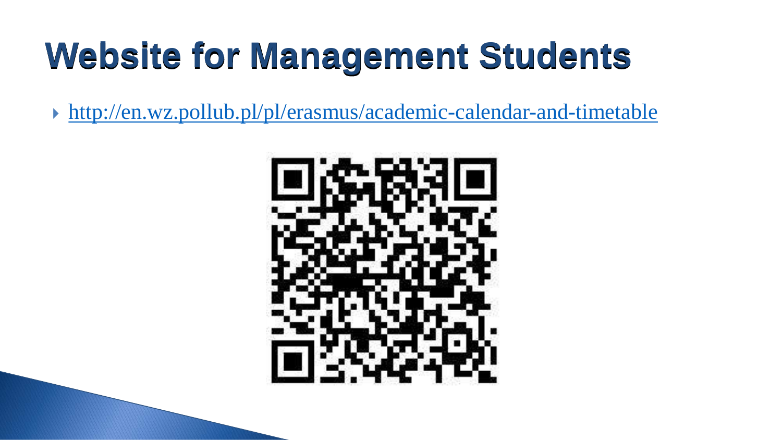# **Website for Management Students**

<http://en.wz.pollub.pl/pl/erasmus/academic-calendar-and-timetable>

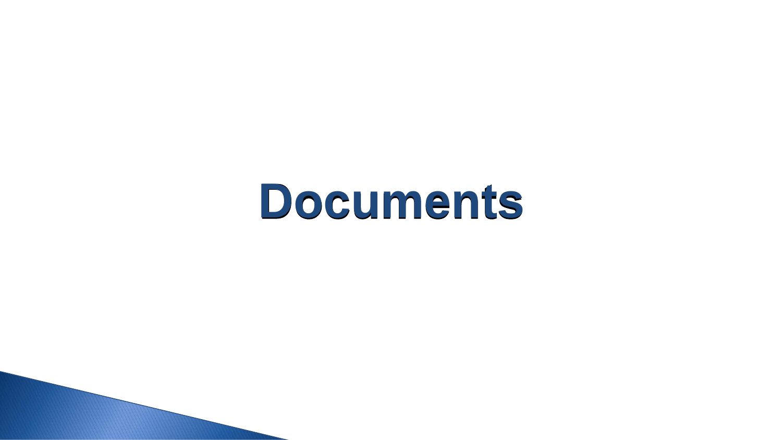# **Documents**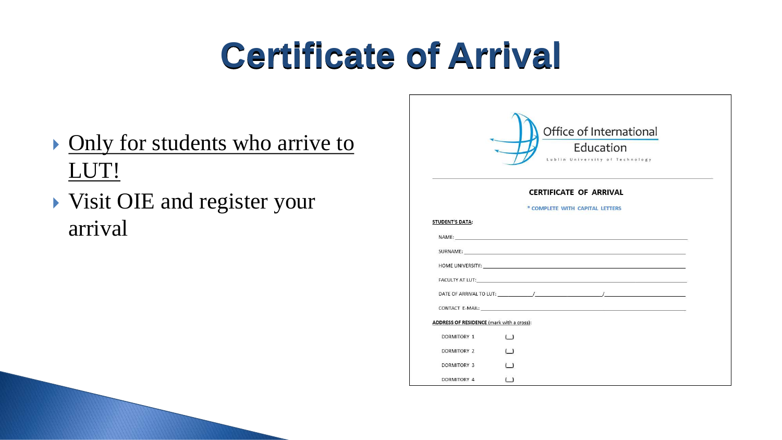# **Certificate of Arrival**

- **Only for students who arrive to** LUT!
- Visit OIE and register your arrival

|                                           | Office of International               |
|-------------------------------------------|---------------------------------------|
|                                           |                                       |
|                                           | Education                             |
|                                           | Lublin University of Technology       |
|                                           | <b>CERTIFICATE OF ARRIVAL</b>         |
|                                           | * COMPLETE WITH CAPITAL LETTERS       |
|                                           |                                       |
| <b>STUDENT'S DATA:</b>                    |                                       |
|                                           | NAME: <u>Cambridge Communications</u> |
|                                           |                                       |
|                                           |                                       |
|                                           |                                       |
|                                           |                                       |
|                                           |                                       |
| ADDRESS OF RESIDENCE (mark with a cross): |                                       |
| <b>DORMITORY 1</b>                        | ( )                                   |
| <b>DORMITORY 2</b>                        | ( )                                   |
| <b>DORMITORY 3</b>                        | $\sqrt{ }$                            |
| DORMITORY 4                               | ( )                                   |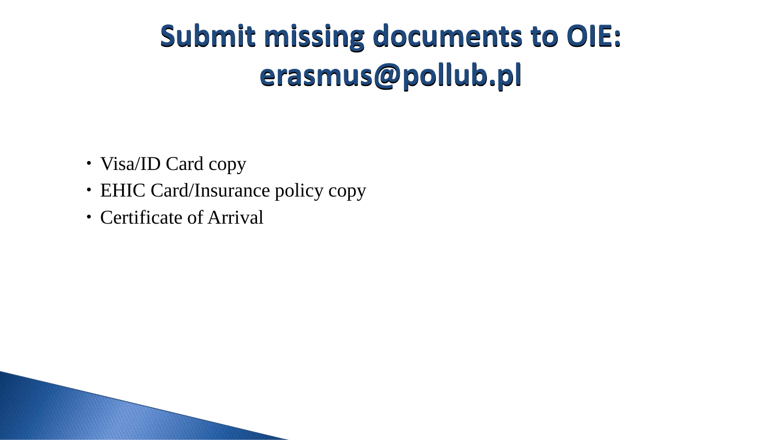#### **Submit missing documents to OIE: erasmus@pollub.pl**

- Visa/ID Card copy
- EHIC Card/Insurance policy copy
- Certificate of Arrival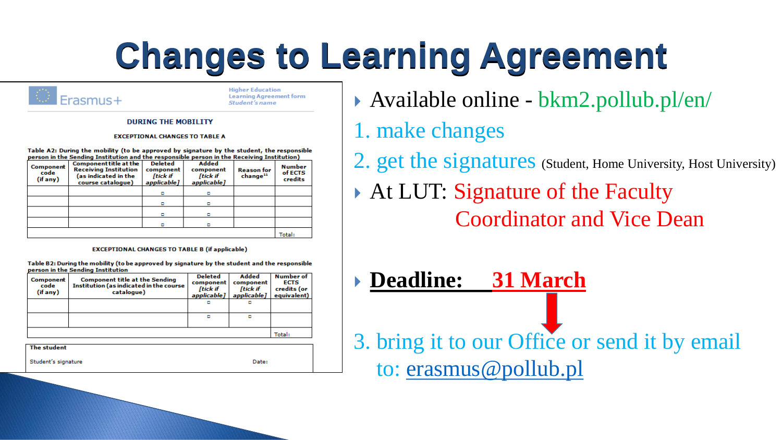# **Changes to Learning Agreement**



**Higher Education Learning Agreement form** Student's name

#### **DURING THE MOBILITY**

#### **EXCEPTIONAL CHANGES TO TABLE A**

Table A2: During the mobility (to be approved by signature by the student, the responsible person in the Sending Institution and the responsible person in the Receiving Institution)

| Component<br>code<br>(if any) | <b>Component title at the</b><br><b>Receiving Institution</b><br>(as indicated in the<br>course catalogue) | Deleted<br>component<br>[tick if<br>applicable] | Added<br>component<br>[tick if<br>applicable] | <b>Reason for</b><br>change <sup>11</sup> | <b>Number</b><br>of ECTS<br>credits |
|-------------------------------|------------------------------------------------------------------------------------------------------------|-------------------------------------------------|-----------------------------------------------|-------------------------------------------|-------------------------------------|
|                               |                                                                                                            | ۰                                               |                                               |                                           |                                     |
|                               |                                                                                                            |                                                 |                                               |                                           |                                     |
|                               |                                                                                                            | п                                               |                                               |                                           |                                     |
|                               |                                                                                                            |                                                 |                                               |                                           |                                     |
|                               |                                                                                                            |                                                 |                                               |                                           | Total:                              |

#### **EXCEPTIONAL CHANGES TO TABLE B (if applicable)**

Table B2: During the mobility (to be approved by signature by the student and the responsible person in the Sending Institution

| Component<br>code<br>(if any) | <b>Component title at the Sending</b><br>Institution (as indicated in the course<br>catalogue) | <b>Deleted</b><br>component<br><b>[tick if</b><br>applicable] | <b>Added</b><br>component<br><b>[tick if</b><br>applicable] | <b>Number of</b><br><b>ECTS</b><br>credits (or<br>equivalent) |
|-------------------------------|------------------------------------------------------------------------------------------------|---------------------------------------------------------------|-------------------------------------------------------------|---------------------------------------------------------------|
|                               |                                                                                                | ۰                                                             | о                                                           |                                                               |
|                               |                                                                                                | ۰                                                             | o                                                           |                                                               |
|                               |                                                                                                |                                                               |                                                             | Total:                                                        |
| The student                   |                                                                                                |                                                               |                                                             |                                                               |
| Student's signature           |                                                                                                |                                                               | Date:                                                       |                                                               |

Available online - bkm2.pollub.pl/en/

1. make changes

2. get the signatures (Student, Home University, Host University)

- At LUT: Signature of the Faculty Coordinator and Vice Dean
- **Deadline: 31 March**  3. bring it to our Office or send it by email to: [erasmus@pollub.pl](mailto:erasmus@pollub.pl)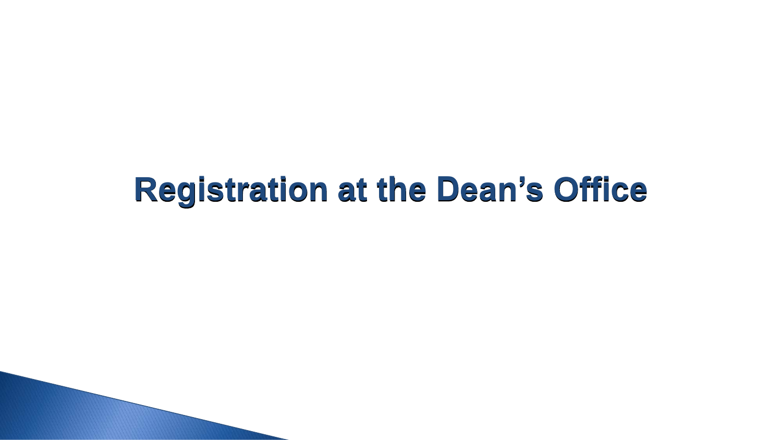#### **Registration at the Dean's Office**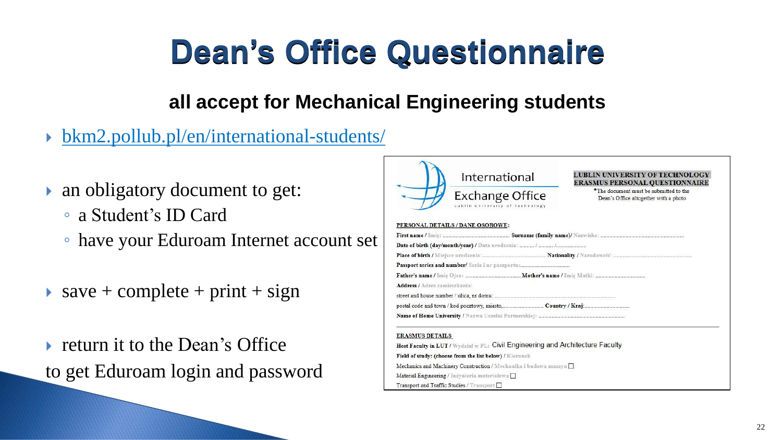### **Dean's Office Questionnaire**

#### **all accept for Mechanical Engineering students**

- bkm2.pollub.pl/en/international-students/
- an obligatory document to get:
	- a Student's ID Card
	- have your Eduroam Internet account set
- $\triangleright$  save + complete + print + sign
- ▶ return it to the Dean's Office to get Eduroam login and password



Field of study: (choose from the list below) / Kierunek Mechanics and Machinery Construction / Mechanika i budowa maszyn Material Engineering / Inżynieria materialowa Transport and Traffic Studies / Transport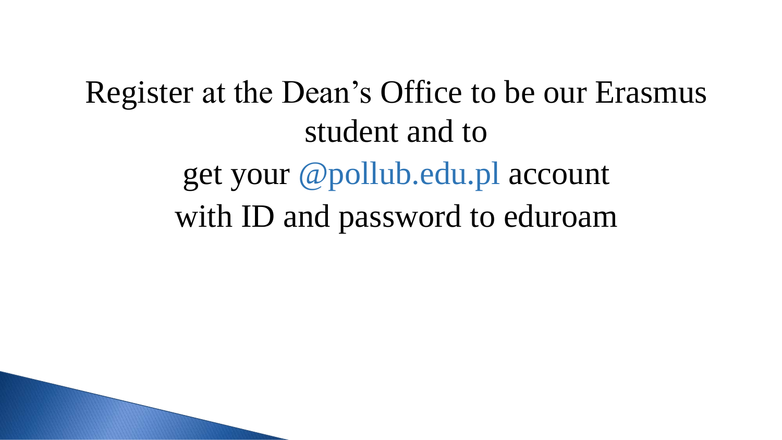Register at the Dean's Office to be our Erasmus student and to get your @pollub.edu.pl account with ID and password to eduroam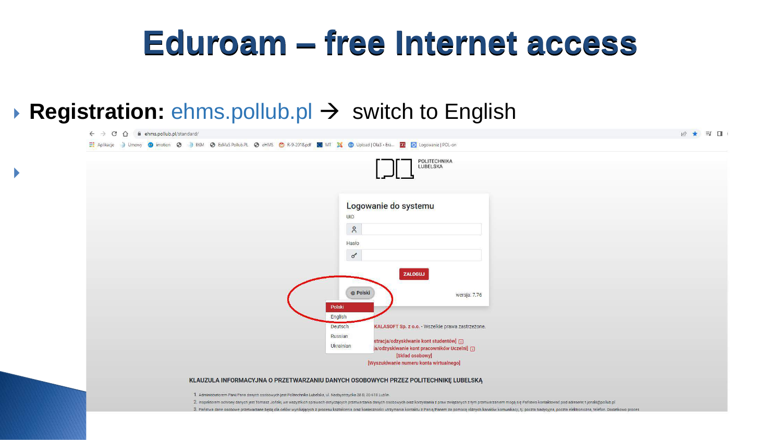#### **Eduroam – free Internet access**

#### **Registration: ehms.pollub.pl → switch to English**

 $\blacktriangleright$ 

| POLITECHNIKA<br>LUBELSKA                                                                              |  |
|-------------------------------------------------------------------------------------------------------|--|
|                                                                                                       |  |
|                                                                                                       |  |
| Logowanie do systemu                                                                                  |  |
| UID                                                                                                   |  |
| $\mathsf{S}^{\mathsf{C}}$                                                                             |  |
| Hasło                                                                                                 |  |
| $\sigma$                                                                                              |  |
|                                                                                                       |  |
| ZALOGUJ                                                                                               |  |
| <b>O</b> Polski                                                                                       |  |
| wersja: 7.76                                                                                          |  |
| Polski<br>English                                                                                     |  |
| KALASOFT Sp. z o.o. - Wszelkie prawa zastrzeżone.<br><b>Deutsch</b>                                   |  |
| Russian                                                                                               |  |
| stracja/odzyskiwanie kont studentów] [j]<br>Ukrainian<br>a/odzyskiwanie kont pracowników Uczelni] [j] |  |
| [Skład osobowy]<br>[Wyszukiwanie numeru konta wirtualnego]                                            |  |

1. Administratorem Pani/Pana danych osobowych jest Politechnika Lubelska, ul. Nadbystrzycka 38 D, 20-618 Lublin

2. Inspektorem ochrony danych jest Tomasz Joński, we wszystkich sprawach dotyczących przetwarzania danych osobowych oraz korzystania z praw związanych z tym przetwarzaniem mogą się Państwo kontaktować pod adresem: t.jonski

3. Państwa dane osobowe przetwarzane będą dla celów wynikających z procesu kształcenia oraz konieczności utrzymania kontaktu z Panią/Panem za pomocą różnych kanałów komunikacji, tj. poczta tradycyjna, poczta elektroniczna,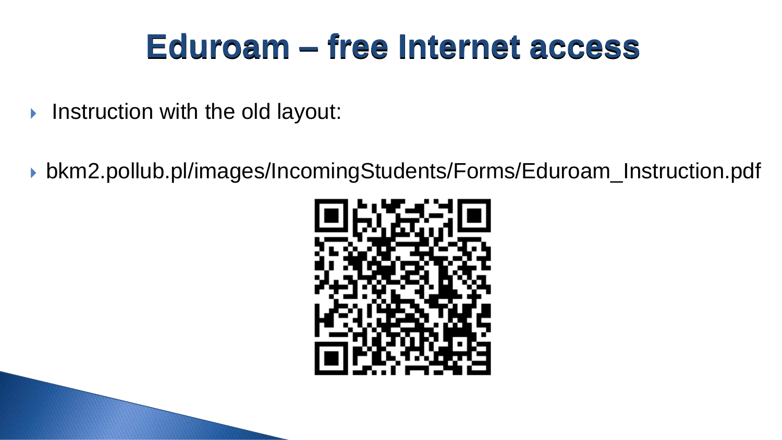#### **Eduroam – free Internet access**

- Instruction with the old layout:
- bkm2.pollub.pl/images/IncomingStudents/Forms/Eduroam\_Instruction.pdf

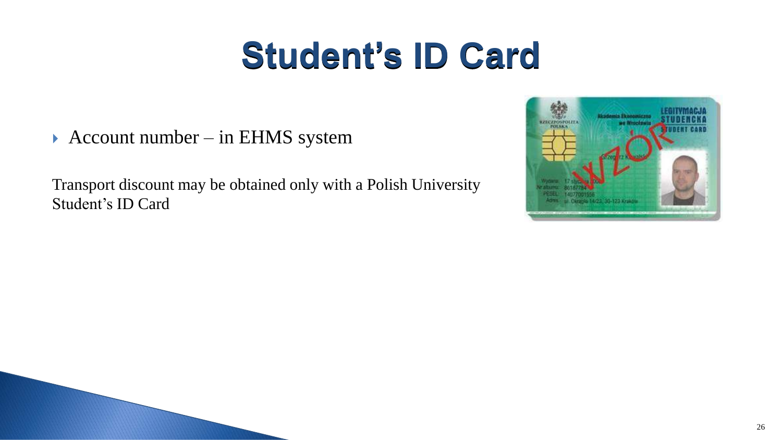# **Student's ID Card**

▶ Account number – in EHMS system

Transport discount may be obtained only with a Polish University Student's ID Card

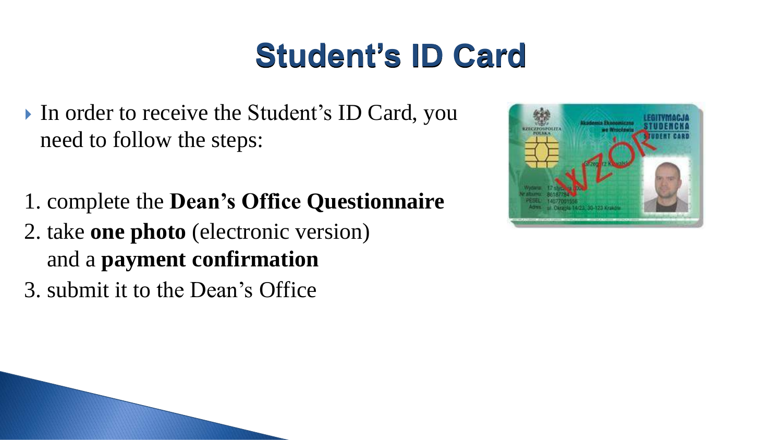### **Student's ID Card**

- In order to receive the Student's ID Card, you need to follow the steps:
- 1. complete the **Dean's Office Questionnaire**
- 2. take **one photo** (electronic version) and a **payment confirmation**
- 3. submit it to the Dean's Office